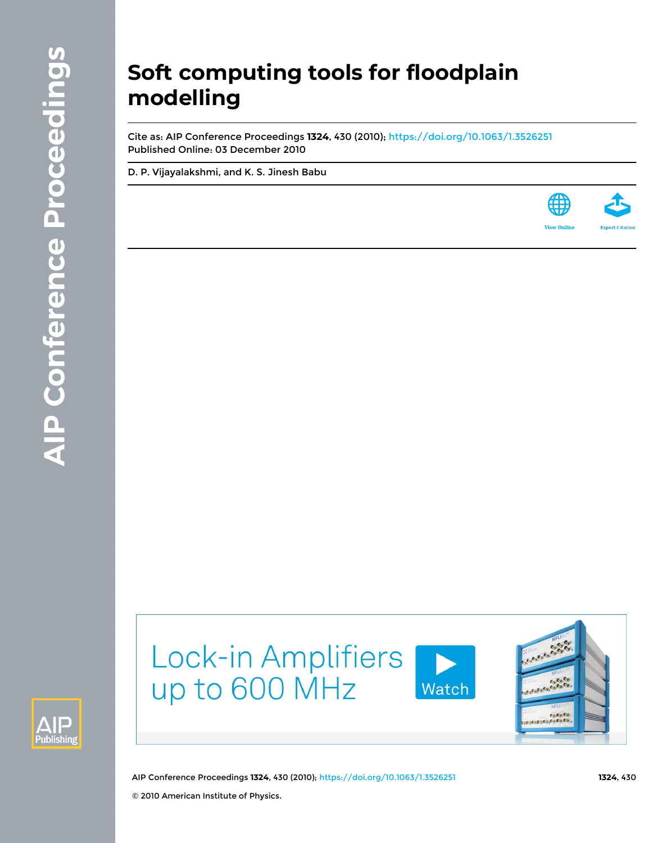# **Soft computing tools for floodplain modelling**

Cite as: AIP Conference Proceedings **1324**, 430 (2010);<https://doi.org/10.1063/1.3526251> Published Online: 03 December 2010

[D. P. Vijayalakshmi](https://aip.scitation.org/author/Vijayalakshmi%2C+D+P), and [K. S. Jinesh Babu](https://aip.scitation.org/author/Babu%2C+K+S+Jinesh)





Lock-in Amplifiers up to 600 MHz





AIP Conference Proceedings **1324**, 430 (2010); <https://doi.org/10.1063/1.3526251> **1324**, 430 © 2010 American Institute of Physics.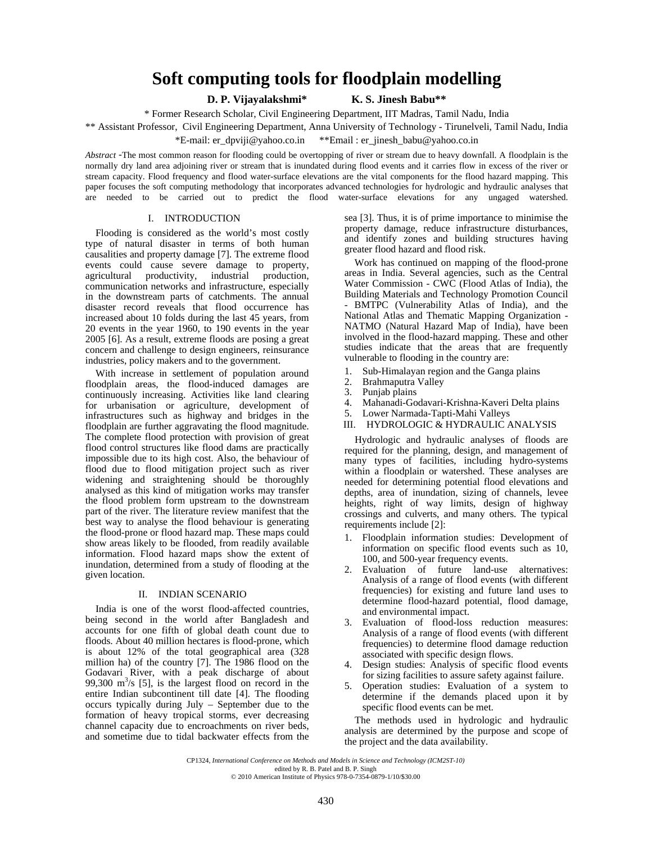## **Soft computing tools for floodplain modelling**

**D. P. Vijayalakshmi\* K. S. Jinesh Babu\*\*** 

\* Former Research Scholar, Civil Engineering Department, IIT Madras, Tamil Nadu, India

\*\* Assistant Professor, Civil Engineering Department, Anna University of Technology - Tirunelveli, Tamil Nadu, India

\*E-mail: er\_dpviji@yahoo.co.in \*\*Email : er\_jinesh\_babu@yahoo.co.in

Abstract -The most common reaso[n for flooding could be over](mailto:er_dpviji@yahoo.co.in)topping of rive[r or stream due to heavy downfall.](mailto:er_jinesh_babu@yahoo.co.in) A floodplain is the normally dry land area adjoining river or stream that is inundated during flood events and it carries flow in excess of the river or stream capacity. Flood frequency and flood water-surface elevations are the vital components for the flood hazard mapping. This paper focuses the soft computing methodology that incorporates advanced technologies for hydrologic and hydraulic analyses that are needed to be carried out to predict the flood water-surface elevations for any ungaged watershed.

#### I. INTRODUCTION

Flooding is considered as the world's most costly type of natural disaster in terms of both human causalities and property damage [7]. The extreme flood events could cause severe damage to property, agricultural productivity, industrial production, agricultural productivity, industrial production, communication networks and infrastructure, especially in the downstream parts of catchments. The annual disaster record reveals that flood occurrence has increased about 10 folds during the last 45 years, from 20 events in the year 1960, to 190 events in the year 2005 [6]. As a result, extreme floods are posing a great concern and challenge to design engineers, reinsurance industries, policy makers and to the government.

With increase in settlement of population around floodplain areas, the flood-induced damages are continuously increasing. Activities like land clearing for urbanisation or agriculture, development of infrastructures such as highway and bridges in the floodplain are further aggravating the flood magnitude. The complete flood protection with provision of great flood control structures like flood dams are practically impossible due to its high cost. Also, the behaviour of flood due to flood mitigation project such as river widening and straightening should be thoroughly analysed as this kind of mitigation works may transfer the flood problem form upstream to the downstream part of the river. The literature review manifest that the best way to analyse the flood behaviour is generating the flood-prone or flood hazard map. These maps could show areas likely to be flooded, from readily available information. Flood hazard maps show the extent of inundation, determined from a study of flooding at the given location.

### II. INDIAN SCENARIO

India is one of the worst flood-affected countries, being second in the world after Bangladesh and accounts for one fifth of global death count due to floods. About 40 million hectares is flood-prone, which is about 12% of the total geographical area (328 million ha) of the country [7]. The 1986 flood on the Godavari River, with a peak discharge of about 99,300  $\text{m}^3$ /s [5], is the largest flood on record in the entire Indian subcontinent till date [4]. The flooding occurs typically during July – September due to the formation of heavy tropical storms, ever decreasing channel capacity due to encroachments on river beds, and sometime due to tidal backwater effects from the

sea [3]. Thus, it is of prime importance to minimise the property damage, reduce infrastructure disturbances, and identify zones and building structures having greater flood hazard and flood risk.

Work has continued on mapping of the flood-prone areas in India. Several agencies, such as the Central Water Commission - CWC (Flood Atlas of India), the Building Materials and Technology Promotion Council BMTPC (Vulnerability Atlas of India), and the National Atlas and Thematic Mapping Organization - NATMO (Natural Hazard Map of India), have been involved in the flood-hazard mapping. These and other studies indicate that the areas that are frequently vulnerable to flooding in the country are:

- 1. Sub-Himalayan region and the Ganga plains
- 2. Brahmaputra Valley
- 3. Punjab plains<br>4. Mahanadi-Go
- 4. Mahanadi-Godavari-Krishna-Kaveri Delta plains
- 5. Lower Narmada-Tapti-Mahi Valleys
- III. HYDROLOGIC & HYDRAULIC ANALYSIS

Hydrologic and hydraulic analyses of floods are required for the planning, design, and management of many types of facilities, including hydro-systems within a floodplain or watershed. These analyses are needed for determining potential flood elevations and depths, area of inundation, sizing of channels, levee heights, right of way limits, design of highway crossings and culverts, and many others. The typical requirements include [2]:

- 1. Floodplain information studies: Development of information on specific flood events such as 10, 100, and 500-year frequency events.
- 2. Evaluation of future land-use alternatives: Analysis of a range of flood events (with different frequencies) for existing and future land uses to determine flood-hazard potential, flood damage, and environmental impact.
- 3. Evaluation of flood-loss reduction measures: Analysis of a range of flood events (with different frequencies) to determine flood damage reduction associated with specific design flows.
- 4. Design studies: Analysis of specific flood events for sizing facilities to assure safety against failure.
- 5. Operation studies: Evaluation of a system to determine if the demands placed upon it by specific flood events can be met.

The methods used in hydrologic and hydraulic and the control of the purpose and scope of the purpose and scope of the purpose and scope of the purpose and scope of the project and the data availability.

CP1324, *International Conference on Methods and Models in Science and Technology (ICM2ST-10)*  edited by R. B. Patel and B. P. Singh © 2010 American Institute of Physics 978-0-7354-0879-1/10/\$30.00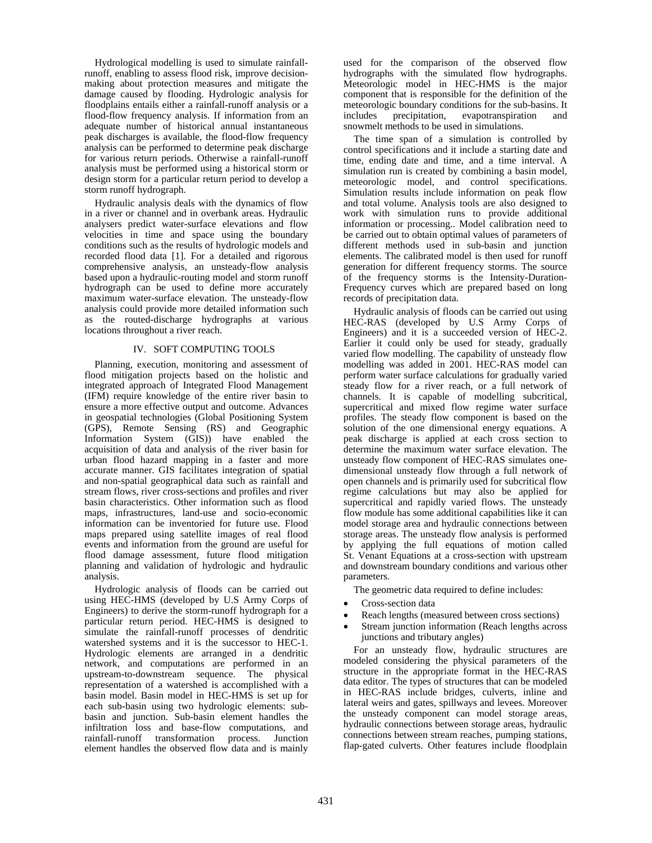Hydrological modelling is used to simulate rainfallrunoff, enabling to assess flood risk, improve decisionmaking about protection measures and mitigate the damage caused by flooding. Hydrologic analysis for floodplains entails either a rainfall-runoff analysis or a flood-flow frequency analysis. If information from an adequate number of historical annual instantaneous peak discharges is available, the flood-flow frequency analysis can be performed to determine peak discharge for various return periods. Otherwise a rainfall-runoff analysis must be performed using a historical storm or design storm for a particular return period to develop a storm runoff hydrograph.

Hydraulic analysis deals with the dynamics of flow in a river or channel and in overbank areas. Hydraulic analysers predict water-surface elevations and flow velocities in time and space using the boundary conditions such as the results of hydrologic models and recorded flood data [1]. For a detailed and rigorous comprehensive analysis, an unsteady-flow analysis based upon a hydraulic-routing model and storm runoff hydrograph can be used to define more accurately maximum water-surface elevation. The unsteady-flow analysis could provide more detailed information such as the routed-discharge hydrographs at various locations throughout a river reach.

#### IV. SOFT COMPUTING TOOLS

Planning, execution, monitoring and assessment of flood mitigation projects based on the holistic and integrated approach of Integrated Flood Management (IFM) require knowledge of the entire river basin to ensure a more effective output and outcome. Advances in geospatial technologies (Global Positioning System (GPS), Remote Sensing (RS) and Geographic Information System (GIS)) have enabled the acquisition of data and analysis of the river basin for urban flood hazard mapping in a faster and more accurate manner. GIS facilitates integration of spatial and non-spatial geographical data such as rainfall and stream flows, river cross-sections and profiles and river basin characteristics. Other information such as flood maps, infrastructures, land-use and socio-economic information can be inventoried for future use. Flood maps prepared using satellite images of real flood events and information from the ground are useful for flood damage assessment, future flood mitigation planning and validation of hydrologic and hydraulic analysis.

Hydrologic analysis of floods can be carried out using HEC-HMS (developed by U.S Army Corps of Engineers) to derive the storm-runoff hydrograph for a particular return period. HEC-HMS is designed to simulate the rainfall-runoff processes of dendritic watershed systems and it is the successor to HEC-1. Hydrologic elements are arranged in a dendritic network, and computations are performed in an upstream-to-downstream sequence. The physical representation of a watershed is accomplished with a basin model. Basin model in HEC-HMS is set up for each sub-basin using two hydrologic elements: subbasin and junction. Sub-basin element handles the infiltration loss and base-flow computations, and rainfall-runoff transformation process. Junction element handles the observed flow data and is mainly used for the comparison of the observed flow hydrographs with the simulated flow hydrographs. Meteorologic model in HEC-HMS is the major component that is responsible for the definition of the meteorologic boundary conditions for the sub-basins. It<br>includes precipitation, evapotranspiration and evapotranspiration and snowmelt methods to be used in simulations.

The time span of a simulation is controlled by control specifications and it include a starting date and time, ending date and time, and a time interval. A simulation run is created by combining a basin model, meteorologic model, and control specifications. Simulation results include information on peak flow and total volume. Analysis tools are also designed to work with simulation runs to provide additional information or processing.. Model calibration need to be carried out to obtain optimal values of parameters of different methods used in sub-basin and junction elements. The calibrated model is then used for runoff generation for different frequency storms. The source of the frequency storms is the Intensity-Duration-Frequency curves which are prepared based on long records of precipitation data.

Hydraulic analysis of floods can be carried out using HEC-RAS (developed by U.S Army Corps of Engineers) and it is a succeeded version of HEC-2. Earlier it could only be used for steady, gradually varied flow modelling. The capability of unsteady flow modelling was added in 2001. HEC-RAS model can perform water surface calculations for gradually varied steady flow for a river reach, or a full network of channels. It is capable of modelling subcritical, supercritical and mixed flow regime water surface profiles. The steady flow component is based on the solution of the one dimensional energy equations. A peak discharge is applied at each cross section to determine the maximum water surface elevation. The unsteady flow component of HEC-RAS simulates onedimensional unsteady flow through a full network of open channels and is primarily used for subcritical flow regime calculations but may also be applied for supercritical and rapidly varied flows. The unsteady flow module has some additional capabilities like it can model storage area and hydraulic connections between storage areas. The unsteady flow analysis is performed by applying the full equations of motion called St. Venant Equations at a cross-section with upstream and downstream boundary conditions and various other parameters.

The geometric data required to define includes:

- Cross-section data
- Reach lengths (measured between cross sections)
- Stream junction information (Reach lengths across junctions and tributary angles)

For an unsteady flow, hydraulic structures are modeled considering the physical parameters of the structure in the appropriate format in the HEC-RAS data editor. The types of structures that can be modeled in HEC-RAS include bridges, culverts, inline and lateral weirs and gates, spillways and levees. Moreover the unsteady component can model storage areas, hydraulic connections between storage areas, hydraulic connections between stream reaches, pumping stations, flap-gated culverts. Other features include floodplain